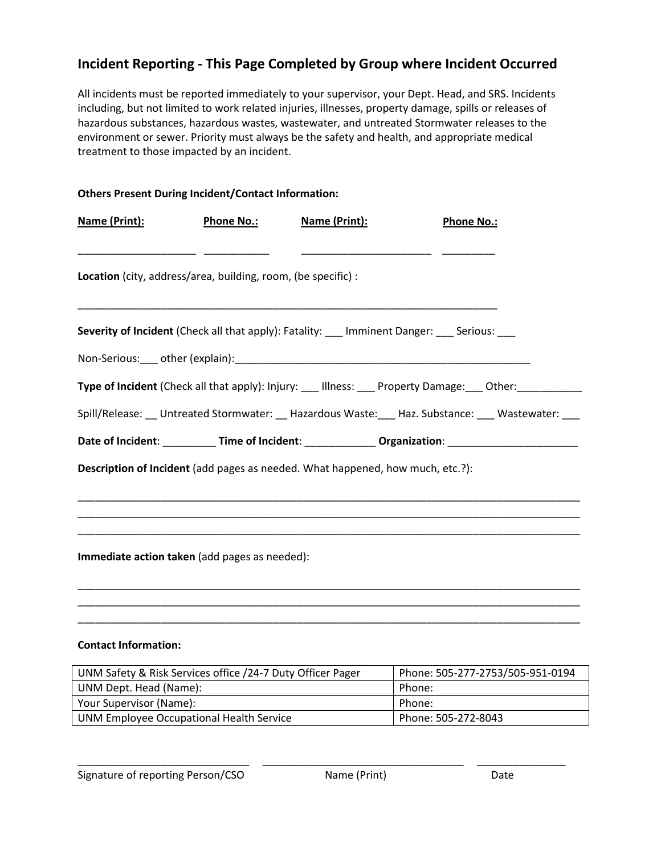## **Incident Reporting - This Page Completed by Group where Incident Occurred**

All incidents must be reported immediately to your supervisor, your Dept. Head, and SRS. Incidents including, but not limited to work related injuries, illnesses, property damage, spills or releases of hazardous substances, hazardous wastes, wastewater, and untreated Stormwater releases to the environment or sewer. Priority must always be the safety and health, and appropriate medical treatment to those impacted by an incident.

| <b>Others Present During Incident/Contact Information:</b>    |                   |                                                                                |                                                                                                         |  |
|---------------------------------------------------------------|-------------------|--------------------------------------------------------------------------------|---------------------------------------------------------------------------------------------------------|--|
| Name (Print):                                                 | <b>Phone No.:</b> | Name (Print):                                                                  | <b>Phone No.:</b>                                                                                       |  |
| Location (city, address/area, building, room, (be specific) : |                   |                                                                                |                                                                                                         |  |
|                                                               |                   |                                                                                | Severity of Incident (Check all that apply): Fatality: __ Imminent Danger: __ Serious: __               |  |
|                                                               |                   |                                                                                |                                                                                                         |  |
|                                                               |                   |                                                                                | Type of Incident (Check all that apply): Injury: ___ Illness: ___ Property Damage: ___ Other: _________ |  |
|                                                               |                   |                                                                                | Spill/Release: __ Untreated Stormwater: __ Hazardous Waste: __ Haz. Substance: __ Wastewater: ___       |  |
|                                                               |                   |                                                                                | Date of Incident: ___________ Time of Incident: ______________ Organization: _______________________    |  |
|                                                               |                   | Description of Incident (add pages as needed. What happened, how much, etc.?): |                                                                                                         |  |
|                                                               |                   |                                                                                |                                                                                                         |  |
|                                                               |                   |                                                                                |                                                                                                         |  |
|                                                               |                   |                                                                                |                                                                                                         |  |
| Immediate action taken (add pages as needed):                 |                   |                                                                                |                                                                                                         |  |
|                                                               |                   |                                                                                |                                                                                                         |  |
|                                                               |                   |                                                                                |                                                                                                         |  |
|                                                               |                   |                                                                                |                                                                                                         |  |

## **Contact Information:**

| UNM Safety & Risk Services office /24-7 Duty Officer Pager | Phone: 505-277-2753/505-951-0194 |
|------------------------------------------------------------|----------------------------------|
| UNM Dept. Head (Name):                                     | Phone:                           |
| Your Supervisor (Name):                                    | Phone:                           |
| UNM Employee Occupational Health Service                   | Phone: 505-272-8043              |

\_\_\_\_\_\_\_\_\_\_\_\_\_\_\_\_\_\_\_\_\_\_\_\_\_\_\_\_\_ \_\_\_\_\_\_\_\_\_\_\_\_\_\_\_\_\_\_\_\_\_\_\_\_\_\_\_\_\_\_\_\_\_\_ \_\_\_\_\_\_\_\_\_\_\_\_\_\_\_